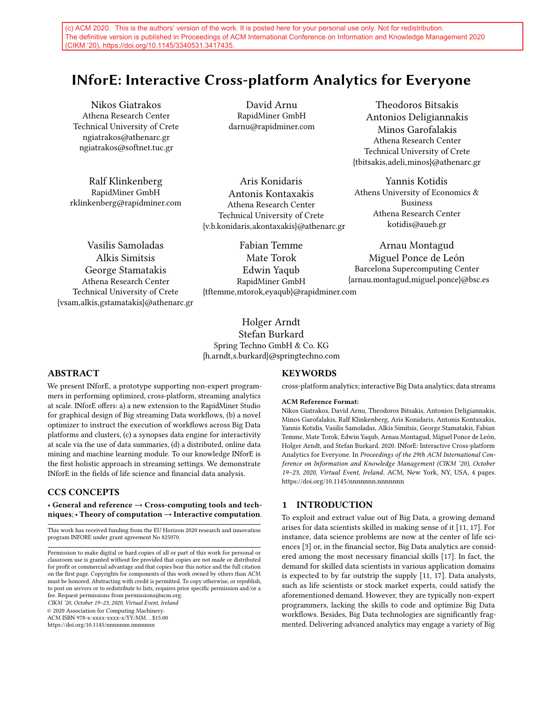(c) ACM 2020. This is the authors' version of the work. It is posted here for your personal use only. Not for redistribution. The definitive version is published in Proceedings of ACM International Conference on Information and Knowledge Management 2020 (CIKM '20), https://doi.org/10.1145/3340531.3417435.

# INforE: Interactive Cross-platform Analytics for Everyone

Nikos Giatrakos Athena Research Center Technical University of Crete ngiatrakos@athenarc.gr ngiatrakos@softnet.tuc.gr

Ralf Klinkenberg RapidMiner GmbH rklinkenberg@rapidminer.com

David Arnu RapidMiner GmbH darnu@rapidminer.com

Aris Konidaris Antonis Kontaxakis Athena Research Center Technical University of Crete {v.b.konidaris,akontaxakis}@athenarc.gr

Vasilis Samoladas Alkis Simitsis George Stamatakis Athena Research Center Technical University of Crete {vsam,alkis,gstamatakis}@athenarc.gr

Fabian Temme Mate Torok Edwin Yaqub RapidMiner GmbH {tftemme,mtorok,eyaqub}@rapidminer.com

Holger Arndt Stefan Burkard Spring Techno GmbH & Co. KG {h.arndt,s.burkard}@springtechno.com

### ABSTRACT

We present INforE, a prototype supporting non-expert programmers in performing optimized, cross-platform, streaming analytics at scale. INforE offers: a) a new extension to the RapidMiner Studio for graphical design of Big streaming Data workflows, (b) a novel optimizer to instruct the execution of workflows across Big Data platforms and clusters, (c) a synopses data engine for interactivity at scale via the use of data summaries, (d) a distributed, online data mining and machine learning module. To our knowledge INforE is the first holistic approach in streaming settings. We demonstrate INforE in the fields of life science and financial data analysis.

### CCS CONCEPTS

• General and reference  $\rightarrow$  Cross-computing tools and techniques; • Theory of computation  $\rightarrow$  Interactive computation.

This work has received funding from the EU Horizon 2020 research and innovation program INFORE under grant agreement No 825070.

Permission to make digital or hard copies of all or part of this work for personal or classroom use is granted without fee provided that copies are not made or distributed for profit or commercial advantage and that copies bear this notice and the full citation on the first page. Copyrights for components of this work owned by others than ACM must be honored. Abstracting with credit is permitted. To copy otherwise, or republish, to post on servers or to redistribute to lists, requires prior specific permission and/or a fee. Request permissions from permissions@acm.org.

CIKM '20, October 19–23, 2020, Virtual Event, Ireland

© 2020 Association for Computing Machinery.

ACM ISBN 978-x-xxxx-xxxx-x/YY/MM. . . \$15.00

# <https://doi.org/10.1145/nnnnnnn.nnnnnnn>

### **KEYWORDS**

cross-platform analytics; interactive Big Data analytics; data streams

#### ACM Reference Format:

Nikos Giatrakos, David Arnu, Theodoros Bitsakis, Antonios Deligiannakis, Minos Garofalakis, Ralf Klinkenberg, Aris Konidaris, Antonis Kontaxakis, Yannis Kotidis, Vasilis Samoladas, Alkis Simitsis, George Stamatakis, Fabian Temme, Mate Torok, Edwin Yaqub, Arnau Montagud, Miguel Ponce de León, Holger Arndt, and Stefan Burkard. 2020. INforE: Interactive Cross-platform Analytics for Everyone. In Proceedings of the 29th ACM International Conference on Information and Knowledge Management (CIKM '20), October 19–23, 2020, Virtual Event, Ireland. ACM, New York, NY, USA, [4](#page-3-0) pages. <https://doi.org/10.1145/nnnnnnn.nnnnnnn>

### 1 INTRODUCTION

To exploit and extract value out of Big Data, a growing demand arises for data scientists skilled in making sense of it [\[11,](#page-3-1) [17\]](#page-3-2). For instance, data science problems are now at the center of life sciences [\[3\]](#page-3-3) or, in the financial sector, Big Data analytics are considered among the most necessary financial skills [\[17\]](#page-3-2). In fact, the demand for skilled data scientists in various application domains is expected to by far outstrip the supply [\[11,](#page-3-1) [17\]](#page-3-2). Data analysts, such as life scientists or stock market experts, could satisfy the aforementioned demand. However, they are typically non-expert programmers, lacking the skills to code and optimize Big Data workflows. Besides, Big Data technologies are significantly fragmented. Delivering advanced analytics may engage a variety of Big

{tbitsakis,adeli,minos}@athenarc.gr Yannis Kotidis Athens University of Economics & Business Athena Research Center kotidis@aueb.gr

Theodoros Bitsakis Antonios Deligiannakis Minos Garofalakis Athena Research Center Technical University of Crete

Arnau Montagud Miguel Ponce de León Barcelona Supercomputing Center {arnau.montagud,miguel.ponce}@bsc.es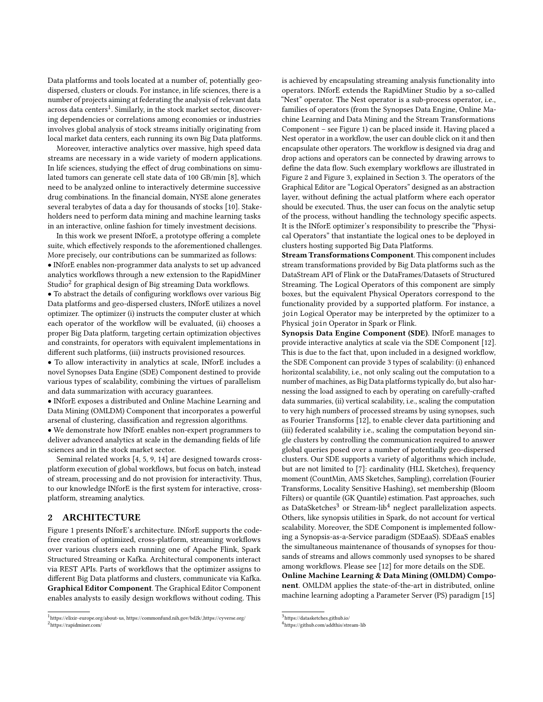Data platforms and tools located at a number of, potentially geodispersed, clusters or clouds. For instance, in life sciences, there is a number of projects aiming at federating the analysis of relevant data across data centers $^1$  $^1$ . Similarly, in the stock market sector, discovering dependencies or correlations among economies or industries involves global analysis of stock streams initially originating from local market data centers, each running its own Big Data platforms.

Moreover, interactive analytics over massive, high speed data streams are necessary in a wide variety of modern applications. In life sciences, studying the effect of drug combinations on simulated tumors can generate cell state data of 100 GB/min [\[8\]](#page-3-4), which need to be analyzed online to interactively determine successive drug combinations. In the financial domain, NYSE alone generates several terabytes of data a day for thousands of stocks [\[10\]](#page-3-5). Stakeholders need to perform data mining and machine learning tasks in an interactive, online fashion for timely investment decisions.

In this work we present INforE, a prototype offering a complete suite, which effectively responds to the aforementioned challenges. More precisely, our contributions can be summarized as follows: • INforE enables non-programmer data analysts to set up advanced analytics workflows through a new extension to the RapidMiner Studio $^2$  $^2$  for graphical design of Big streaming Data workflows.

• To abstract the details of configuring workflows over various Big Data platforms and geo-dispersed clusters, INforE utilizes a novel optimizer. The optimizer (i) instructs the computer cluster at which each operator of the workflow will be evaluated, (ii) chooses a proper Big Data platform, targeting certain optimization objectives and constraints, for operators with equivalent implementations in different such platforms, (iii) instructs provisioned resources.

• To allow interactivity in analytics at scale, INforE includes a novel Synopses Data Engine (SDE) Component destined to provide various types of scalability, combining the virtues of parallelism and data summarization with accuracy guarantees.

• INforE exposes a distributed and Online Machine Learning and Data Mining (OMLDM) Component that incorporates a powerful arsenal of clustering, classification and regression algorithms.

• We demonstrate how INforE enables non-expert programmers to deliver advanced analytics at scale in the demanding fields of life sciences and in the stock market sector.

Seminal related works [\[4,](#page-3-6) [5,](#page-3-7) [9,](#page-3-8) [14\]](#page-3-9) are designed towards crossplatform execution of global workflows, but focus on batch, instead of stream, processing and do not provision for interactivity. Thus, to our knowledge INforE is the first system for interactive, crossplatform, streaming analytics.

# 2 ARCHITECTURE

Figure [1](#page-2-0) presents INforE's architecture. INforE supports the codefree creation of optimized, cross-platform, streaming workflows over various clusters each running one of Apache Flink, Spark Structured Streaming or Kafka. Architectural components interact via REST APIs. Parts of workflows that the optimizer assigns to different Big Data platforms and clusters, communicate via Kafka. Graphical Editor Component. The Graphical Editor Component enables analysts to easily design workflows without coding. This

is achieved by encapsulating streaming analysis functionality into operators. INforE extends the RapidMiner Studio by a so-called "Nest" operator. The Nest operator is a sub-process operator, i.e., families of operators (from the Synopses Data Engine, Online Machine Learning and Data Mining and the Stream Transformations Component – see Figure [1\)](#page-2-0) can be placed inside it. Having placed a Nest operator in a workflow, the user can double click on it and then encapsulate other operators. The workflow is designed via drag and drop actions and operators can be connected by drawing arrows to define the data flow. Such exemplary workflows are illustrated in Figure [2](#page-2-0) and Figure [3,](#page-3-10) explained in Section [3.](#page-2-1) The operators of the Graphical Editor are "Logical Operators" designed as an abstraction layer, without defining the actual platform where each operator should be executed. Thus, the user can focus on the analytic setup of the process, without handling the technology specific aspects. It is the INforE optimizer's responsibility to prescribe the "Physical Operators" that instantiate the logical ones to be deployed in clusters hosting supported Big Data Platforms.

Stream Transformations Component. This component includes stream transformations provided by Big Data platforms such as the DataStream API of Flink or the DataFrames/Datasets of Structured Streaming. The Logical Operators of this component are simply boxes, but the equivalent Physical Operators correspond to the functionality provided by a supported platform. For instance, a join Logical Operator may be interpreted by the optimizer to a Physical join Operator in Spark or Flink.

Synopsis Data Engine Component (SDE). INforE manages to provide interactive analytics at scale via the SDE Component [\[12\]](#page-3-11). This is due to the fact that, upon included in a designed workflow, the SDE Component can provide 3 types of scalability: (i) enhanced horizontal scalability, i.e., not only scaling out the computation to a number of machines, as Big Data platforms typically do, but also harnessing the load assigned to each by operating on carefully-crafted data summaries, (ii) vertical scalability, i.e., scaling the computation to very high numbers of processed streams by using synopses, such as Fourier Transforms [\[12\]](#page-3-11), to enable clever data partitioning and (iii) federated scalability i.e., scaling the computation beyond single clusters by controlling the communication required to answer global queries posed over a number of potentially geo-dispersed clusters. Our SDE supports a variety of algorithms which include, but are not limited to [\[7\]](#page-3-12): cardinality (HLL Sketches), frequency moment (CountMin, AMS Sketches, Sampling), correlation (Fourier Transforms, Locality Sensitive Hashing), set membership (Bloom Filters) or quantile (GK Quantile) estimation. Past approaches, such as DataSketches<sup>[3](#page-1-2)</sup> or Stream-lib<sup>[4](#page-1-3)</sup> neglect parallelization aspects. Others, like synopsis utilities in Spark, do not account for vertical scalability. Moreover, the SDE Component is implemented following a Synopsis-as-a-Service paradigm (SDEaaS). SDEaaS enables the simultaneous maintenance of thousands of synopses for thousands of streams and allows commonly used synopses to be shared among workflows. Please see [\[12\]](#page-3-11) for more details on the SDE.

Online Machine Learning & Data Mining (OMLDM) Component. OMLDM applies the state-of-the-art in distributed, online machine learning adopting a Parameter Server (PS) paradigm [\[15\]](#page-3-13)

<span id="page-1-1"></span><span id="page-1-0"></span><sup>&</sup>lt;sup>1</sup>[https://elixir-europe.org/about-us,](https://elixir-europe.org/about-us)<https://commonfund.nih.gov/bd2k/>[,https://cyverse.org/](https://cyverse.org/) 2 <https://rapidminer.com/>

<span id="page-1-2"></span><sup>3</sup> <https://datasketches.github.io/>

<span id="page-1-3"></span><sup>4</sup> <https://github.com/addthis/stream-lib>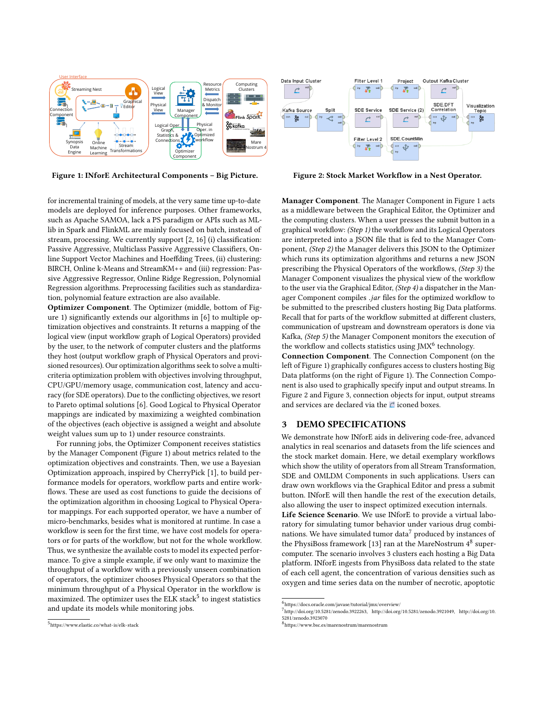<span id="page-2-0"></span>

Figure 1: INforE Architectural Components - Big Picture. Figure 2: Stock Market Workflow in a Nest Operator.



for incremental training of models, at the very same time up-to-date models are deployed for inference purposes. Other frameworks, such as Apache SAMOA, lack a PS paradigm or APIs such as MLlib in Spark and FlinkML are mainly focused on batch, instead of stream, processing. We currently support [\[2,](#page-3-14) [16\]](#page-3-15) (i) classification: Passive Aggressive, Multiclass Passive Aggressive Classifiers, Online Support Vector Machines and Hoeffding Trees, (ii) clustering: BIRCH, Online k-Means and StreamKM++ and (iii) regression: Passive Aggressive Regressor, Online Ridge Regression, Polynomial Regression algorithms. Preprocessing facilities such as standardization, polynomial feature extraction are also available.

Optimizer Component. The Optimizer (middle, bottom of Figure [1\)](#page-2-0) significantly extends our algorithms in [\[6\]](#page-3-16) to multiple optimization objectives and constraints. It returns a mapping of the logical view (input workflow graph of Logical Operators) provided by the user, to the network of computer clusters and the platforms they host (output workflow graph of Physical Operators and provisioned resources). Our optimization algorithms seek to solve a multicriteria optimization problem with objectives involving throughput, CPU/GPU/memory usage, communication cost, latency and accuracy (for SDE operators). Due to the conflicting objectives, we resort to Pareto optimal solutions [\[6\]](#page-3-16). Good Logical to Physical Operator mappings are indicated by maximizing a weighted combination of the objectives (each objective is assigned a weight and absolute weight values sum up to 1) under resource constraints.

For running jobs, the Optimizer Component receives statistics by the Manager Component (Figure [1\)](#page-2-0) about metrics related to the optimization objectives and constraints. Then, we use a Bayesian Optimization approach, inspired by CherryPick [\[1\]](#page-3-17), to build performance models for operators, workflow parts and entire workflows. These are used as cost functions to guide the decisions of the optimization algorithm in choosing Logical to Physical Operator mappings. For each supported operator, we have a number of micro-benchmarks, besides what is monitored at runtime. In case a workflow is seen for the first time, we have cost models for operators or for parts of the workflow, but not for the whole workflow. Thus, we synthesize the available costs to model its expected performance. To give a simple example, if we only want to maximize the throughput of a workflow with a previously unseen combination of operators, the optimizer chooses Physical Operators so that the minimum throughput of a Physical Operator in the workflow is maximized. The optimizer uses the ELK stack $^5$  $^5$  to ingest statistics and update its models while monitoring jobs.

Manager Component. The Manager Component in Figure [1](#page-2-0) acts as a middleware between the Graphical Editor, the Optimizer and the computing clusters. When a user presses the submit button in a graphical workflow: (Step 1) the workflow and its Logical Operators are interpreted into a JSON file that is fed to the Manager Component, (Step 2) the Manager delivers this JSON to the Optimizer which runs its optimization algorithms and returns a new JSON prescribing the Physical Operators of the workflows, (Step 3) the Manager Component visualizes the physical view of the workflow to the user via the Graphical Editor, (Step 4) a dispatcher in the Manager Component compiles .jar files for the optimized workflow to be submitted to the prescribed clusters hosting Big Data platforms. Recall that for parts of the workflow submitted at different clusters, communication of upstream and downstream operators is done via Kafka, (Step 5) the Manager Component monitors the execution of the workflow and collects statistics using JMX<sup>[6](#page-2-3)</sup> technology.

Connection Component. The Connection Component (on the left of Figure [1\)](#page-2-0) graphically configures access to clusters hosting Big Data platforms (on the right of Figure [1\)](#page-2-0). The Connection Component is also used to graphically specify input and output streams. In Figure [2](#page-2-0) and Figure [3,](#page-3-10) connection objects for input, output streams and services are declared via the  $\triangle$  iconed boxes.

## <span id="page-2-1"></span>3 DEMO SPECIFICATIONS

We demonstrate how INforE aids in delivering code-free, advanced analytics in real scenarios and datasets from the life sciences and the stock market domain. Here, we detail exemplary workflows which show the utility of operators from all Stream Transformation, SDE and OMLDM Components in such applications. Users can draw own workflows via the Graphical Editor and press a submit button. INforE will then handle the rest of the execution details, also allowing the user to inspect optimized execution internals.

Life Science Scenario. We use INforE to provide a virtual laboratory for simulating tumor behavior under various drug combi-nations. We have simulated tumor data<sup>[7](#page-2-4)</sup> produced by instances of the PhysiBoss framework [\[13\]](#page-3-18) ran at the MareNostrum  $4^8$  $4^8$  supercomputer. The scenario involves 3 clusters each hosting a Big Data platform. INforE ingests from PhysiBoss data related to the state of each cell agent, the concentration of various densities such as oxygen and time series data on the number of necrotic, apoptotic

<span id="page-2-2"></span><sup>5</sup> <https://www.elastic.co/what-is/elk-stack>

<span id="page-2-3"></span><sup>6</sup> <https://docs.oracle.com/javase/tutorial/jmx/overview/>

<span id="page-2-4"></span><sup>7</sup> [http://doi.org/10.5281/zenodo.3922263,](http://doi.org/10.5281/zenodo.3922263) [http://doi.org/10.5281/zenodo.3921049,](http://doi.org/10.5281/zenodo.3921049) [http://doi.org/10.](http://doi.org/10.5281/zenodo.3923070) [5281/zenodo.3923070](http://doi.org/10.5281/zenodo.3923070)

<span id="page-2-5"></span><sup>8</sup> <https://www.bsc.es/marenostrum/marenostrum>